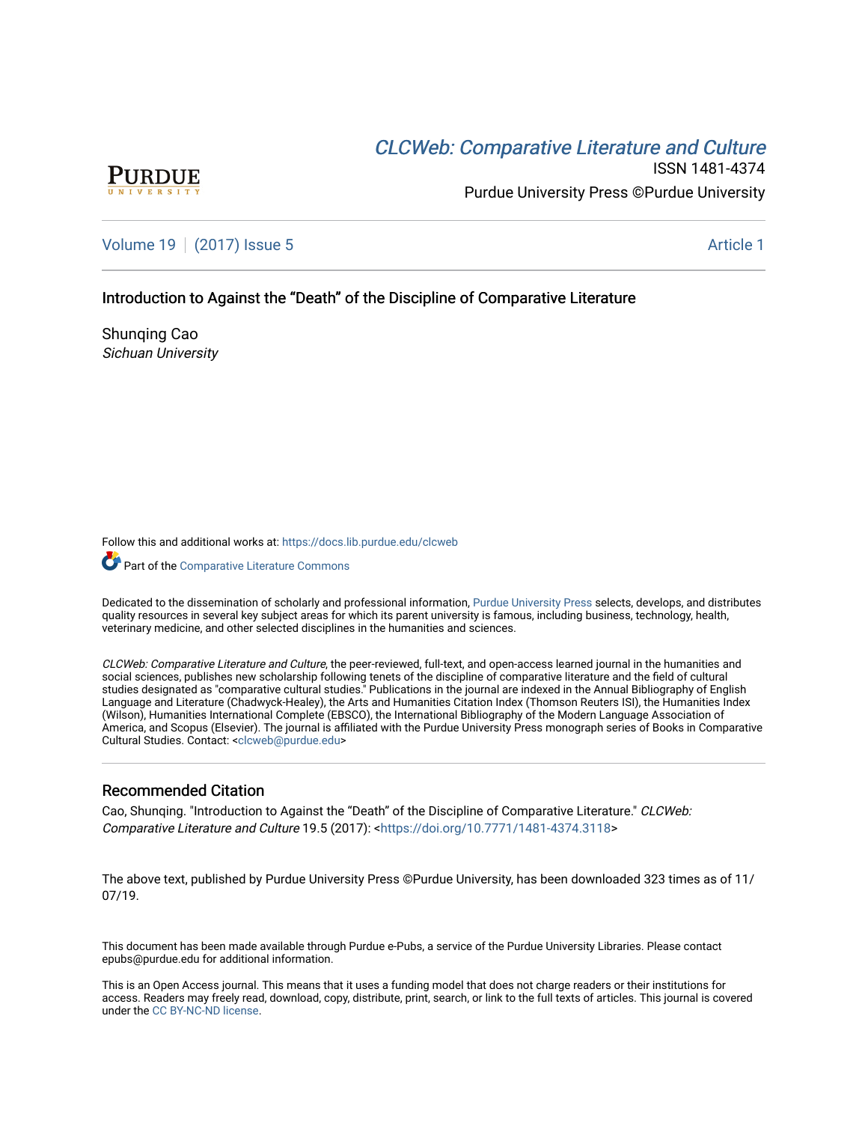# CLCW[eb: Comparative Liter](https://docs.lib.purdue.edu/clcweb)ature and Culture



ISSN 1481-4374 Purdue University Press ©Purdue University

[Volume 19](https://docs.lib.purdue.edu/clcweb/vol19) | [\(2017\) Issue 5](https://docs.lib.purdue.edu/clcweb/vol19/iss5) Article 1

## Introduction to Against the "Death" of the Discipline of Comparative Literature

Shunqing Cao Sichuan University

Follow this and additional works at: [https://docs.lib.purdue.edu/clcweb](https://docs.lib.purdue.edu/clcweb?utm_source=docs.lib.purdue.edu%2Fclcweb%2Fvol19%2Fiss5%2F1&utm_medium=PDF&utm_campaign=PDFCoverPages)

Part of the [Comparative Literature Commons](http://network.bepress.com/hgg/discipline/454?utm_source=docs.lib.purdue.edu%2Fclcweb%2Fvol19%2Fiss5%2F1&utm_medium=PDF&utm_campaign=PDFCoverPages) 

Dedicated to the dissemination of scholarly and professional information, [Purdue University Press](http://www.thepress.purdue.edu/) selects, develops, and distributes quality resources in several key subject areas for which its parent university is famous, including business, technology, health, veterinary medicine, and other selected disciplines in the humanities and sciences.

CLCWeb: Comparative Literature and Culture, the peer-reviewed, full-text, and open-access learned journal in the humanities and social sciences, publishes new scholarship following tenets of the discipline of comparative literature and the field of cultural studies designated as "comparative cultural studies." Publications in the journal are indexed in the Annual Bibliography of English Language and Literature (Chadwyck-Healey), the Arts and Humanities Citation Index (Thomson Reuters ISI), the Humanities Index (Wilson), Humanities International Complete (EBSCO), the International Bibliography of the Modern Language Association of America, and Scopus (Elsevier). The journal is affiliated with the Purdue University Press monograph series of Books in Comparative Cultural Studies. Contact: [<clcweb@purdue.edu](mailto:clcweb@purdue.edu)>

#### Recommended Citation

Cao, Shunqing. "Introduction to Against the "Death" of the Discipline of Comparative Literature." CLCWeb: Comparative Literature and Culture 19.5 (2017): <<https://doi.org/10.7771/1481-4374.3118>>

The above text, published by Purdue University Press ©Purdue University, has been downloaded 323 times as of 11/ 07/19.

This document has been made available through Purdue e-Pubs, a service of the Purdue University Libraries. Please contact epubs@purdue.edu for additional information.

This is an Open Access journal. This means that it uses a funding model that does not charge readers or their institutions for access. Readers may freely read, download, copy, distribute, print, search, or link to the full texts of articles. This journal is covered under the [CC BY-NC-ND license.](https://creativecommons.org/licenses/by-nc-nd/4.0/)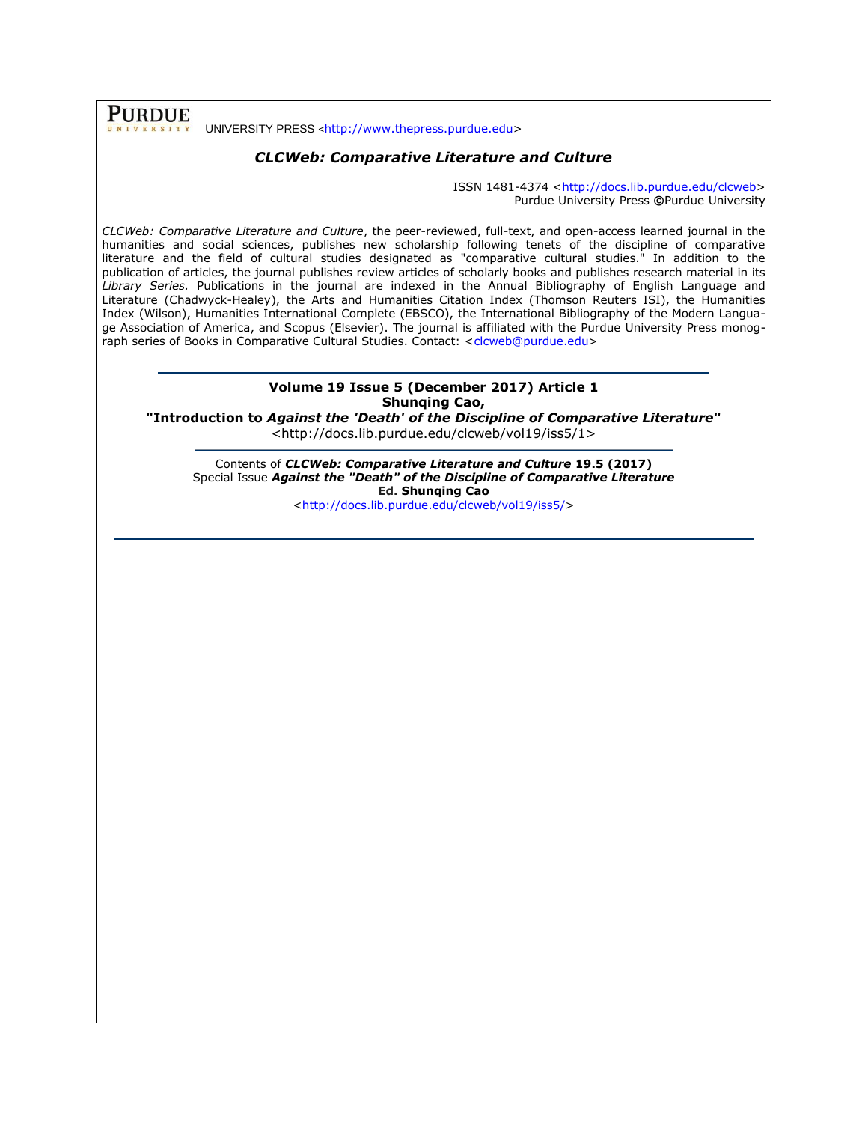UNIVERSITY PRESS <[http://www.thepress.purdue.edu>](http://www.thepress.purdue.edu/)

**PURDUE** 

## *CLCWeb: Comparative Literature and Culture*

ISSN 1481-4374 [<http://docs.lib.purdue.edu/clcweb>](http://docs.lib.purdue.edu/clcweb) Purdue University Press **©**Purdue University

*CLCWeb: Comparative Literature and Culture*, the peer-reviewed, full-text, and open-access learned journal in the humanities and social sciences, publishes new scholarship following tenets of the discipline of comparative literature and the field of cultural studies designated as "comparative cultural studies." In addition to the publication of articles, the journal publishes review articles of scholarly books and publishes research material in its *Library Series.* Publications in the journal are indexed in the Annual Bibliography of English Language and Literature (Chadwyck-Healey), the Arts and Humanities Citation Index (Thomson Reuters ISI), the Humanities Index (Wilson), Humanities International Complete (EBSCO), the International Bibliography of the Modern Language Association of America, and Scopus (Elsevier). The journal is affiliated with the Purdue University Press monog-raph series of Books in Comparative Cultural Studies. Contact: [<clcweb@purdue.edu>](mailto:clcweb@purdue.edu)

## **Volume 19 Issue 5 (December 2017) Article 1 Shunqing Cao,**

**"Introduction to** *Against the 'Death' of the Discipline of Comparative Literature***"** <http://docs.lib.purdue.edu/clcweb/vol19/iss5/1>

Contents of *CLCWeb: Comparative Literature and Culture* **19.5 (2017)** Special Issue *Against the "Death" of the Discipline of Comparative Literature* **Ed. Shunqing Cao** [<http://docs.lib.purdue.edu/clcweb/vol19/iss5/>](http://docs.lib.purdue.edu/clcweb/vol19/iss5/)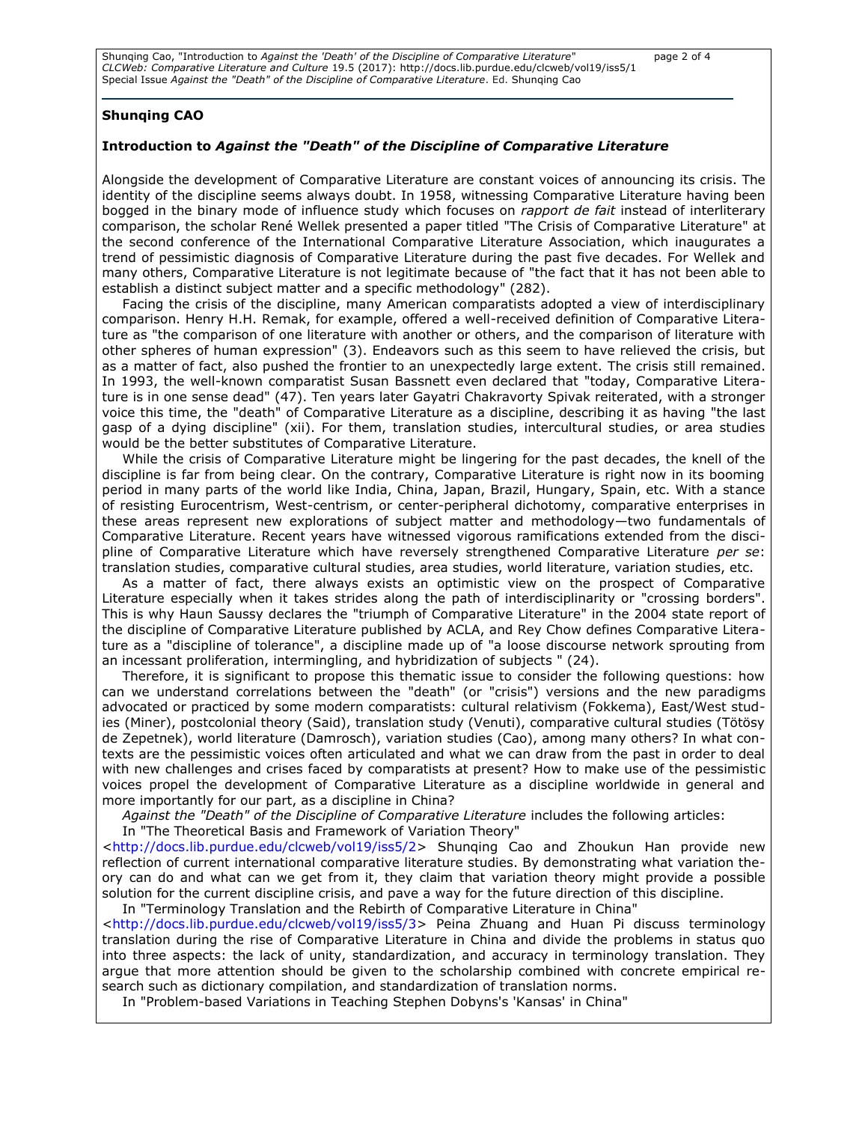Shunqing Cao, "Introduction to *Against the 'Death' of the Discipline of Comparative Literature*" page 2 of 4 *CLCWeb: Comparative Literature and Culture* 19.5 (2017): [http://docs.lib.purdue.edu/clcweb/vol19/iss5/1](http://docs.lib.purdue.edu/clcweb/vol19/iss5/X) Special Issue *Against the "Death" of the Discipline of Comparative Literature*. Ed. Shunqing Cao

#### **Shunqing CAO**

#### **Introduction to** *Against the "Death" of the Discipline of Comparative Literature*

Alongside the development of Comparative Literature are constant voices of announcing its crisis. The identity of the discipline seems always doubt. In 1958, witnessing Comparative Literature having been bogged in the binary mode of influence study which focuses on *rapport de fait* instead of interliterary comparison, the scholar René Wellek presented a paper titled "The Crisis of Comparative Literature" at the second conference of the International Comparative Literature Association, which inaugurates a trend of pessimistic diagnosis of Comparative Literature during the past five decades. For Wellek and many others, Comparative Literature is not legitimate because of "the fact that it has not been able to establish a distinct subject matter and a specific methodology" (282).

Facing the crisis of the discipline, many American comparatists adopted a view of interdisciplinary comparison. Henry H.H. Remak, for example, offered a well-received definition of Comparative Literature as "the comparison of one literature with another or others, and the comparison of literature with other spheres of human expression" (3). Endeavors such as this seem to have relieved the crisis, but as a matter of fact, also pushed the frontier to an unexpectedly large extent. The crisis still remained. In 1993, the well-known comparatist Susan Bassnett even declared that "today, Comparative Literature is in one sense dead" (47). Ten years later Gayatri Chakravorty Spivak reiterated, with a stronger voice this time, the "death" of Comparative Literature as a discipline, describing it as having "the last gasp of a dying discipline" (xii). For them, translation studies, intercultural studies, or area studies would be the better substitutes of Comparative Literature.

While the crisis of Comparative Literature might be lingering for the past decades, the knell of the discipline is far from being clear. On the contrary, Comparative Literature is right now in its booming period in many parts of the world like India, China, Japan, Brazil, Hungary, Spain, etc. With a stance of resisting Eurocentrism, West-centrism, or center-peripheral dichotomy, comparative enterprises in these areas represent new explorations of subject matter and methodology—two fundamentals of Comparative Literature. Recent years have witnessed vigorous ramifications extended from the discipline of Comparative Literature which have reversely strengthened Comparative Literature *per se*: translation studies, comparative cultural studies, area studies, world literature, variation studies, etc.

As a matter of fact, there always exists an optimistic view on the prospect of Comparative Literature especially when it takes strides along the path of interdisciplinarity or "crossing borders". This is why Haun Saussy declares the "triumph of Comparative Literature" in the 2004 state report of the discipline of Comparative Literature published by ACLA, and Rey Chow defines Comparative Literature as a "discipline of tolerance", a discipline made up of "a loose discourse network sprouting from an incessant proliferation, intermingling, and hybridization of subjects " (24).

Therefore, it is significant to propose this thematic issue to consider the following questions: how can we understand correlations between the "death" (or "crisis") versions and the new paradigms advocated or practiced by some modern comparatists: cultural relativism (Fokkema), East/West studies (Miner), postcolonial theory (Said), translation study (Venuti), comparative cultural studies (Tötösy de Zepetnek), world literature (Damrosch), variation studies (Cao), among many others? In what contexts are the pessimistic voices often articulated and what we can draw from the past in order to deal with new challenges and crises faced by comparatists at present? How to make use of the pessimistic voices propel the development of Comparative Literature as a discipline worldwide in general and more importantly for our part, as a discipline in China?

*Against the "Death" of the Discipline of Comparative Literature* includes the following articles:

In "The Theoretical Basis and Framework of Variation Theory"

[<http://docs.lib.purdue.edu/clcweb/vol19/iss5/2>](http://docs.lib.purdue.edu/clcweb/vol19/iss5/2) Shunqing Cao and Zhoukun Han provide new reflection of current international comparative literature studies. By demonstrating what variation theory can do and what can we get from it, they claim that variation theory might provide a possible solution for the current discipline crisis, and pave a way for the future direction of this discipline.

In "Terminology Translation and the Rebirth of Comparative Literature in China" [<http://docs.lib.purdue.edu/clcweb/vol19/iss5/3>](http://docs.lib.purdue.edu/clcweb/vol19/iss5/3) Peina Zhuang and Huan Pi discuss terminology translation during the rise of Comparative Literature in China and divide the problems in status quo into three aspects: the lack of unity, standardization, and accuracy in terminology translation. They argue that more attention should be given to the scholarship combined with concrete empirical research such as dictionary compilation, and standardization of translation norms.

In "Problem-based Variations in Teaching Stephen Dobyns's 'Kansas' in China"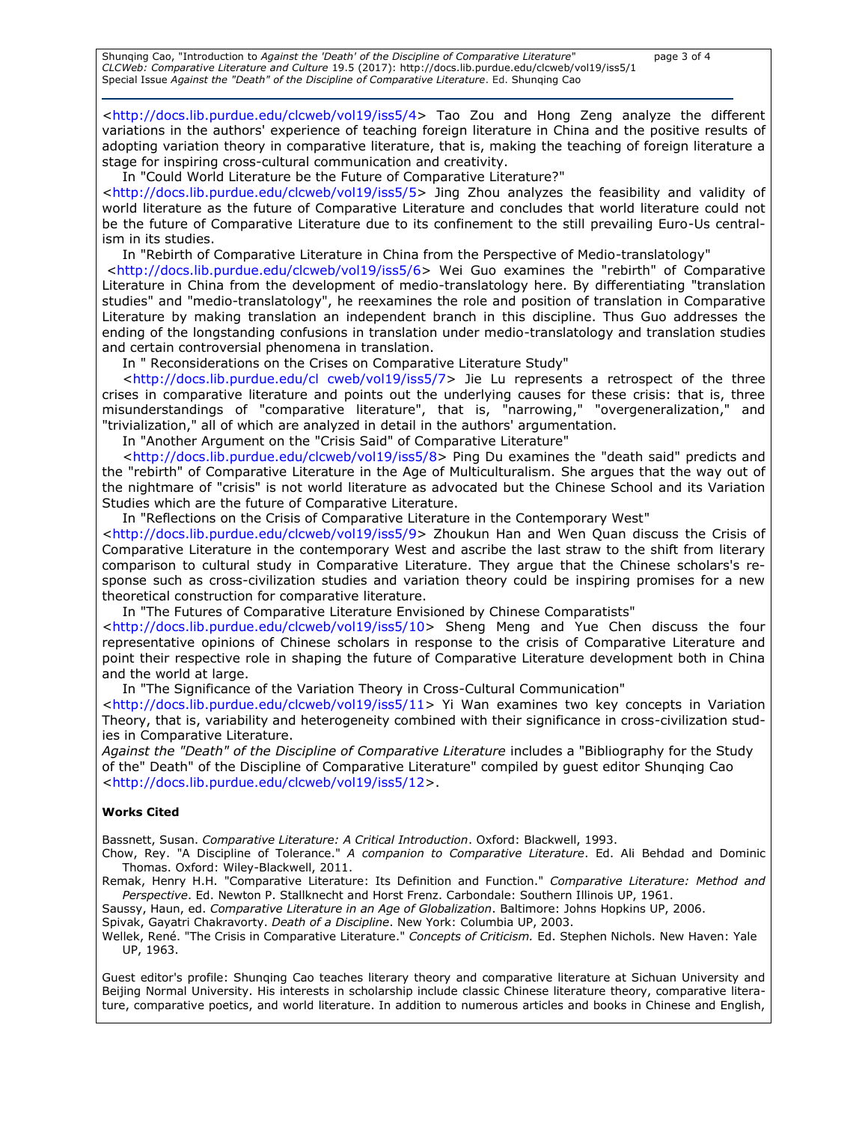Shunqing Cao, "Introduction to *Against the 'Death' of the Discipline of Comparative Literature*" page 3 of 4 *CLCWeb: Comparative Literature and Culture* 19.5 (2017): [http://docs.lib.purdue.edu/clcweb/vol19/iss5/1](http://docs.lib.purdue.edu/clcweb/vol19/iss5/X) Special Issue *Against the "Death" of the Discipline of Comparative Literature*. Ed. Shunqing Cao

[<http://docs.lib.purdue.edu/clcweb/vol19/iss5/4>](http://docs.lib.purdue.edu/clcweb/vol19/iss5/3) Tao Zou and Hong Zeng analyze the different variations in the authors' experience of teaching foreign literature in China and the positive results of adopting variation theory in comparative literature, that is, making the teaching of foreign literature a stage for inspiring cross-cultural communication and creativity.

In "Could World Literature be the Future of Comparative Literature?"

[<http://docs.lib.purdue.edu/clcweb/vol19/iss5/5>](http://docs.lib.purdue.edu/clcweb/vol19/iss5/3) Jing Zhou analyzes the feasibility and validity of world literature as the future of Comparative Literature and concludes that world literature could not be the future of Comparative Literature due to its confinement to the still prevailing Euro-Us centralism in its studies.

In "Rebirth of Comparative Literature in China from the Perspective of Medio-translatology"

[<http://docs.lib.purdue.edu/clcweb/vol19/iss5/6>](http://docs.lib.purdue.edu/clcweb/vol19/iss5/3) Wei Guo examines the "rebirth" of Comparative Literature in China from the development of medio-translatology here. By differentiating "translation studies" and "medio-translatology", he reexamines the role and position of translation in Comparative Literature by making translation an independent branch in this discipline. Thus Guo addresses the ending of the longstanding confusions in translation under medio-translatology and translation studies and certain controversial phenomena in translation.

In " Reconsiderations on the Crises on Comparative Literature Study"

[<http://docs.lib.purdue.edu/cl cweb/vol19/iss5/7>](http://docs.lib.purdue.edu/cl%20cweb/vol19/iss5/7) Jie Lu represents a retrospect of the three crises in comparative literature and points out the underlying causes for these crisis: that is, three misunderstandings of "comparative literature", that is, "narrowing," "overgeneralization," and "trivialization," all of which are analyzed in detail in the authors' argumentation.

In "Another Argument on the "Crisis Said" of Comparative Literature"

[<http://docs.lib.purdue.edu/clcweb/vol19/iss5/8>](http://docs.lib.purdue.edu/clcweb/vol19/iss5/3) Ping Du examines the "death said" predicts and the "rebirth" of Comparative Literature in the Age of Multiculturalism. She argues that the way out of the nightmare of "crisis" is not world literature as advocated but the Chinese School and its Variation Studies which are the future of Comparative Literature.

In "Reflections on the Crisis of Comparative Literature in the Contemporary West"

[<http://docs.lib.purdue.edu/clcweb/vol19/iss5/9>](http://docs.lib.purdue.edu/clcweb/vol19/iss5/3) Zhoukun Han and Wen Quan discuss the Crisis of Comparative Literature in the contemporary West and ascribe the last straw to the shift from literary comparison to cultural study in Comparative Literature. They argue that the Chinese scholars's response such as cross-civilization studies and variation theory could be inspiring promises for a new theoretical construction for comparative literature.

In "The Futures of Comparative Literature Envisioned by Chinese Comparatists"

[<http://docs.lib.purdue.edu/clcweb/vol19/iss5/10>](http://docs.lib.purdue.edu/clcweb/vol19/iss5/3) Sheng Meng and Yue Chen discuss the four representative opinions of Chinese scholars in response to the crisis of Comparative Literature and point their respective role in shaping the future of Comparative Literature development both in China and the world at large.

In "The Significance of the Variation Theory in Cross-Cultural Communication"

[<http://docs.lib.purdue.edu/clcweb/vol19/iss5/11>](http://docs.lib.purdue.edu/clcweb/vol19/iss5/3) Yi Wan examines two key concepts in Variation Theory, that is, variability and heterogeneity combined with their significance in cross-civilization studies in Comparative Literature.

*Against the "Death" of the Discipline of Comparative Literature* includes a "Bibliography for the Study of the" Death" of the Discipline of Comparative Literature" compiled by guest editor Shunqing Cao [<http://docs.lib.purdue.edu/clcweb/vol19/iss5/12>](http://docs.lib.purdue.edu/clcweb/vol19/iss5/3).

#### **Works Cited**

Bassnett, Susan. *Comparative Literature: A Critical Introduction*. Oxford: Blackwell, 1993.

Chow, Rey. "A Discipline of Tolerance." *A companion to Comparative Literature*. Ed. Ali Behdad and Dominic Thomas. Oxford: Wiley-Blackwell, 2011.

Remak, Henry H.H. "Comparative Literature: Its Definition and Function." *Comparative Literature: Method and Perspective*. Ed. Newton P. Stallknecht and Horst Frenz. Carbondale: Southern Illinois UP, 1961.

Saussy, Haun, ed. *Comparative Literature in an Age of Globalization*. Baltimore: Johns Hopkins UP, 2006.

Spivak, Gayatri Chakravorty. *Death of a Discipline*. New York: Columbia UP, 2003.

Wellek, René. "The Crisis in Comparative Literature." *Concepts of Criticism.* Ed. Stephen Nichols. New Haven: Yale UP, 1963.

Guest editor's profile: Shunqing Cao teaches literary theory and comparative literature at Sichuan University and Beijing Normal University. His interests in scholarship include classic Chinese literature theory, comparative literature, comparative poetics, and world literature. In addition to numerous articles and books in Chinese and English,